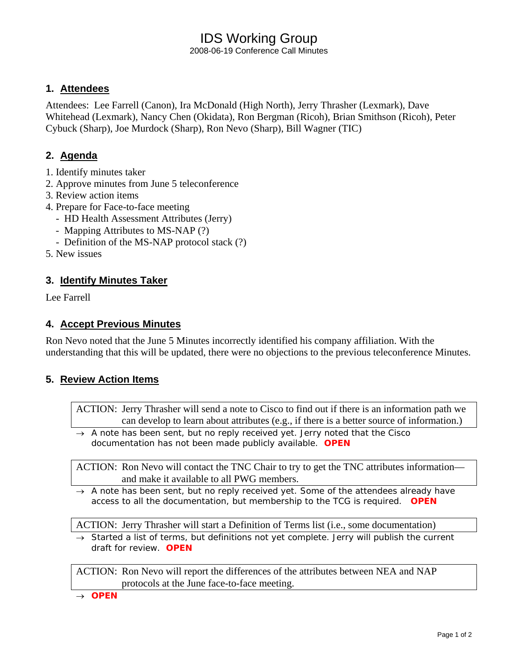# IDS Working Group

2008-06-19 Conference Call Minutes

#### **1. Attendees**

Attendees: Lee Farrell (Canon), Ira McDonald (High North), Jerry Thrasher (Lexmark), Dave Whitehead (Lexmark), Nancy Chen (Okidata), Ron Bergman (Ricoh), Brian Smithson (Ricoh), Peter Cybuck (Sharp), Joe Murdock (Sharp), Ron Nevo (Sharp), Bill Wagner (TIC)

## **2. Agenda**

- 1. Identify minutes taker
- 2. Approve minutes from June 5 teleconference
- 3. Review action items
- 4. Prepare for Face-to-face meeting
	- HD Health Assessment Attributes (Jerry)
	- Mapping Attributes to MS-NAP (?)
	- Definition of the MS-NAP protocol stack (?)
- 5. New issues

#### **3. Identify Minutes Taker**

Lee Farrell

#### **4. Accept Previous Minutes**

Ron Nevo noted that the June 5 Minutes incorrectly identified his company affiliation. With the understanding that this will be updated, there were no objections to the previous teleconference Minutes.

## **5. Review Action Items**

ACTION: Jerry Thrasher will send a note to Cisco to find out if there is an information path we can develop to learn about attributes (e.g., if there is a better source of information.)

→ *A note has been sent, but no reply received yet. Jerry noted that the Cisco documentation has not been made publicly available. OPEN* 

ACTION: Ron Nevo will contact the TNC Chair to try to get the TNC attributes information and make it available to all PWG members.

→ *A note has been sent, but no reply received yet. Some of the attendees already have access to all the documentation, but membership to the TCG is required. OPEN* 

ACTION: Jerry Thrasher will start a Definition of Terms list (i.e., some documentation)

→ *Started a list of terms, but definitions not yet complete. Jerry will publish the current draft for review. OPEN* 

ACTION: Ron Nevo will report the differences of the attributes between NEA and NAP protocols at the June face-to-face meeting.

→ *OPEN*